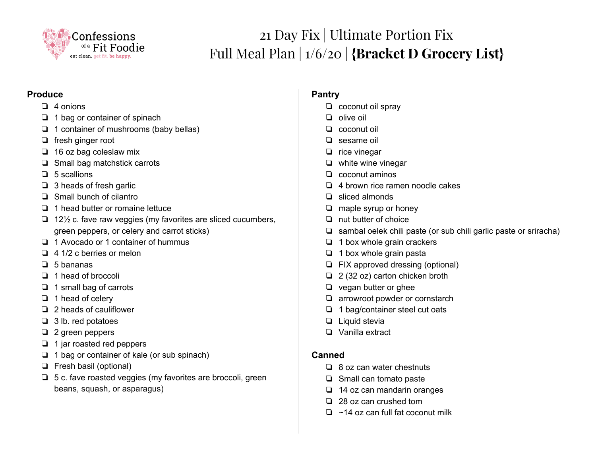

# 21 Day Fix | Ultimate Portion Fix Full Meal Plan | 1/6/20 | **{Bracket D Grocery List}**

#### **Produce**

- ❏ 4 onions
- ❏ 1 bag or container of spinach
- ❏ 1 container of mushrooms (baby bellas)
- ❏ fresh ginger root
- ❏ 16 oz bag coleslaw mix
- ❏ Small bag matchstick carrots
- ❏ 5 scallions
- ❏ 3 heads of fresh garlic
- ❏ Small bunch of cilantro
- ❏ 1 head butter or romaine lettuce
- ❏ 12½ c. fave raw veggies (my favorites are sliced cucumbers, green peppers, or celery and carrot sticks)
- ❏ 1 Avocado or 1 container of hummus
- ❏ 4 1/2 c berries or melon
- ❏ 5 bananas
- ❏ 1 head of broccoli
- ❏ 1 small bag of carrots
- ❏ 1 head of celery
- ❏ 2 heads of cauliflower
- ❏ 3 lb. red potatoes
- ❏ 2 green peppers
- ❏ 1 jar roasted red peppers
- ❏ 1 bag or container of kale (or sub spinach)
- ❏ Fresh basil (optional)
- ❏ 5 c. fave roasted veggies (my favorites are broccoli, green beans, squash, or asparagus)

# **Pantry**

- ❏ coconut oil spray
- ❏ olive oil
- ❏ coconut oil
- ❏ sesame oil
- ❏ rice vinegar
- ❏ white wine vinegar
- ❏ coconut aminos
- ❏ 4 brown rice ramen noodle cakes
- ❏ sliced almonds
- ❏ maple syrup or honey
- ❏ nut butter of choice
- ❏ sambal oelek chili paste (or sub chili garlic paste or sriracha)
- ❏ 1 box whole grain crackers
- ❏ 1 box whole grain pasta
- ❏ FIX approved dressing (optional)
- ❏ 2 (32 oz) carton chicken broth
- ❏ vegan butter or ghee
- ❏ arrowroot powder or cornstarch
- ❏ 1 bag/container steel cut oats
- ❏ Liquid stevia
- ❏ Vanilla extract

#### **Canned**

- ❏ 8 oz can water chestnuts
- ❏ Small can tomato paste
- ❏ 14 oz can mandarin oranges
- ❏ 28 oz can crushed tom
- ❏ ~14 oz can full fat coconut milk